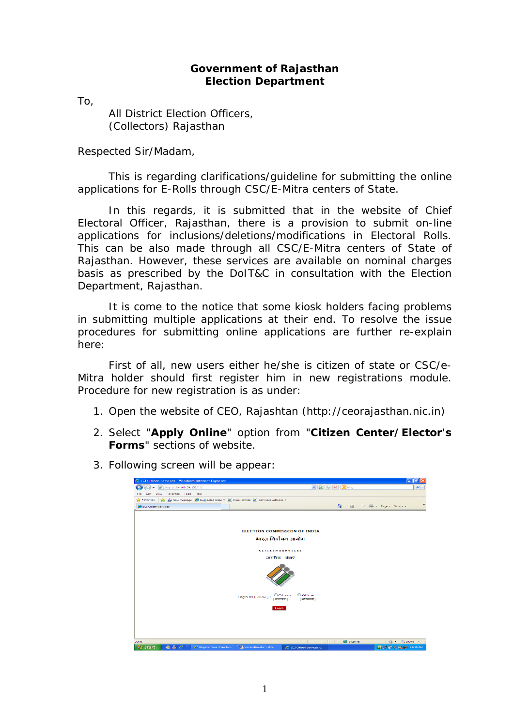## **Government of Rajasthan Election Department**

To,

All District Election Officers, (Collectors) Rajasthan

Respected Sir/Madam,

This is regarding clarifications/guideline for submitting the online applications for E-Rolls through CSC/E-Mitra centers of State.

In this regards, it is submitted that in the website of Chief Electoral Officer, Rajasthan, there is a provision to submit on-line applications for inclusions/deletions/modifications in Electoral Rolls. This can be also made through all CSC/E-Mitra centers of State of Rajasthan. However, these services are available on nominal charges basis as prescribed by the DoIT&C in consultation with the Election Department, Rajasthan.

It is come to the notice that some kiosk holders facing problems in submitting multiple applications at their end. To resolve the issue procedures for submitting online applications are further re-explain here:

First of all, new users either he/she is citizen of state or CSC/e-Mitra holder should first register him in new registrations module. Procedure for new registration is as under:

- 1. Open the website of CEO, Rajashtan (http://ceorajasthan.nic.in)
- 2. Select "**Apply Online**" option from "**Citizen Center/Elector's Forms**" sections of website.
- 3. Following screen will be appear:

| C ECI Citizen Services - Windows Internet Explorer                                        |                                                                                                                                                                                                                                                                                                                     | $\Box$ e $\bf x$                                           |
|-------------------------------------------------------------------------------------------|---------------------------------------------------------------------------------------------------------------------------------------------------------------------------------------------------------------------------------------------------------------------------------------------------------------------|------------------------------------------------------------|
| http://164.100.34.138/CS/                                                                 | $\frac{1}{2}$ $\frac{1}{2}$ $\frac{1}{2}$ $\frac{1}{2}$ $\frac{1}{2}$ $\frac{1}{2}$ $\frac{1}{2}$ $\frac{1}{2}$ $\frac{1}{2}$ $\frac{1}{2}$ $\frac{1}{2}$ $\frac{1}{2}$ $\frac{1}{2}$ $\frac{1}{2}$ $\frac{1}{2}$ $\frac{1}{2}$ $\frac{1}{2}$ $\frac{1}{2}$ $\frac{1}{2}$ $\frac{1}{2}$ $\frac{1}{2}$ $\frac{1}{2}$ | $\alpha$                                                   |
| View Favorites Tools Help<br>File<br>Edit                                                 |                                                                                                                                                                                                                                                                                                                     |                                                            |
| Favorites as see New Message (C Suggested Sites + (C) Free Hotmail (C) Get more Add-ons + |                                                                                                                                                                                                                                                                                                                     |                                                            |
| ECI Citizen Services                                                                      | ☆ · 5 · □ ● · Page · Safety ·                                                                                                                                                                                                                                                                                       | $\gg$                                                      |
|                                                                                           |                                                                                                                                                                                                                                                                                                                     |                                                            |
|                                                                                           |                                                                                                                                                                                                                                                                                                                     |                                                            |
|                                                                                           |                                                                                                                                                                                                                                                                                                                     |                                                            |
|                                                                                           | <b>ELECTION COMMISSION OF INDIA</b>                                                                                                                                                                                                                                                                                 |                                                            |
|                                                                                           | भारत निर्वाचन आयोग                                                                                                                                                                                                                                                                                                  |                                                            |
|                                                                                           |                                                                                                                                                                                                                                                                                                                     |                                                            |
|                                                                                           | <b>CITIZEN SERVICES</b>                                                                                                                                                                                                                                                                                             |                                                            |
|                                                                                           | नागरिक सेवाएं                                                                                                                                                                                                                                                                                                       |                                                            |
|                                                                                           |                                                                                                                                                                                                                                                                                                                     |                                                            |
|                                                                                           | Oofficer<br>Citizen<br>Login as (लोगित):<br>(अधिकारी)<br>(नागरिक)                                                                                                                                                                                                                                                   |                                                            |
|                                                                                           | Login                                                                                                                                                                                                                                                                                                               |                                                            |
|                                                                                           |                                                                                                                                                                                                                                                                                                                     |                                                            |
|                                                                                           |                                                                                                                                                                                                                                                                                                                     |                                                            |
|                                                                                           |                                                                                                                                                                                                                                                                                                                     |                                                            |
|                                                                                           |                                                                                                                                                                                                                                                                                                                     |                                                            |
|                                                                                           |                                                                                                                                                                                                                                                                                                                     |                                                            |
| Done<br>$m = C$<br><b><i>L's</i></b> start<br>C Register Your Compla                      | $\bigoplus$ Internet<br>Wa csc-emitra.doc - Micr<br>C ECI Citizen Services -                                                                                                                                                                                                                                        | $\frac{1}{2}$ + $\frac{1}{2}$ 100% +<br>QD © 5 杨的 11:19 AM |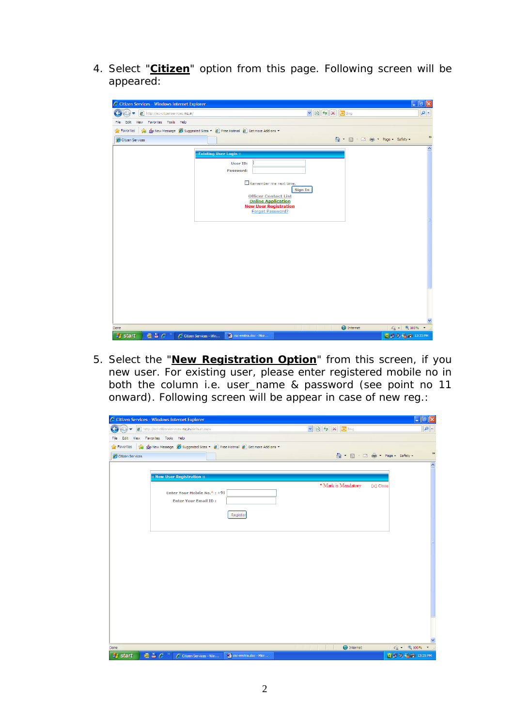4. Select "**Citizen**" option from this page. Following screen will be appeared:

| C Citizen Services - Windows Internet Explorer                                                        |                                                                                                              |                          |
|-------------------------------------------------------------------------------------------------------|--------------------------------------------------------------------------------------------------------------|--------------------------|
| http://eci-citizenservices.nic.in/                                                                    | $\mathbf{v} \mathbf{B} \mathbf{v} \mathbf{v}$                                                                | $\rho$ .                 |
| View Favorites Tools Help<br>File<br>Edit                                                             |                                                                                                              |                          |
| New Message (Suggested Sites v (2) Free Hotmail (2) Get more Add-ons v<br>Favorites                   |                                                                                                              |                          |
| Citizen Services                                                                                      | 4 · 5 · □ ● · Page · Safety ·                                                                                | $\,$                     |
| ::Existing User Login ::                                                                              |                                                                                                              | $\overline{\phantom{a}}$ |
|                                                                                                       | User ID:<br>Password:                                                                                        |                          |
|                                                                                                       | $\Box$ Remember me next time.<br>Sign In                                                                     |                          |
|                                                                                                       | <b>Officer Contact List</b><br><b>Online Application</b><br><b>New User Registration</b><br>Forgot Password? |                          |
|                                                                                                       |                                                                                                              |                          |
|                                                                                                       |                                                                                                              |                          |
|                                                                                                       |                                                                                                              |                          |
|                                                                                                       |                                                                                                              |                          |
|                                                                                                       |                                                                                                              |                          |
|                                                                                                       |                                                                                                              |                          |
| Done                                                                                                  | $\bigoplus$ Internet<br>$\frac{1}{2}$ - $\frac{100\%}{2}$                                                    |                          |
| $\overline{m}$ $\overline{m}$ $\mathcal{O}$ $\rightarrow$<br><b>Start</b><br>C Citizen Services - Win | Q 3 0 % 的 12:23 PM<br><b>Mill</b> csc-emitra.doc - Micr                                                      |                          |

5. Select the "**New Registration Option**" from this screen, if you new user. For existing user, please enter registered mobile no in both the column i.e. user\_name & password (see point no 11 onward). Following screen will be appear in case of new reg.:

| C Citizen Services - Windows Internet Explorer                                                                     |                                               |                                                                       | $\Box$ e $\times$                                    |
|--------------------------------------------------------------------------------------------------------------------|-----------------------------------------------|-----------------------------------------------------------------------|------------------------------------------------------|
| http://eci-citizenservices.nic.in/default.aspx<br>▿                                                                |                                               | $\mathbf{v}$ $\mathbf{B}$ $\mathbf{v}$ $\mathbf{x}$ $\mathbf{b}$ Bing | $\alpha$                                             |
| Edit View Favorites Tools Help<br>File                                                                             |                                               |                                                                       |                                                      |
| Favorites stay New Message Suggested Sites • @ Free Hotmail @ Get more Add-ons •                                   |                                               |                                                                       |                                                      |
| Citizen Services                                                                                                   |                                               |                                                                       | $\,$<br>☆ - 5 - □ ● - Page - Safety -                |
|                                                                                                                    |                                               |                                                                       | $\widehat{\phantom{a}}$                              |
| :: New User Registration ::                                                                                        |                                               |                                                                       |                                                      |
|                                                                                                                    |                                               | * Mark is Mandatory                                                   | [x] Close                                            |
| Enter Your Mobile No.*: +91                                                                                        |                                               |                                                                       |                                                      |
| <b>Enter Your Email ID:</b>                                                                                        |                                               |                                                                       |                                                      |
|                                                                                                                    | Register                                      |                                                                       |                                                      |
|                                                                                                                    |                                               |                                                                       |                                                      |
|                                                                                                                    |                                               |                                                                       |                                                      |
|                                                                                                                    |                                               |                                                                       |                                                      |
|                                                                                                                    |                                               |                                                                       |                                                      |
|                                                                                                                    |                                               |                                                                       |                                                      |
|                                                                                                                    |                                               |                                                                       |                                                      |
|                                                                                                                    |                                               |                                                                       |                                                      |
|                                                                                                                    |                                               |                                                                       |                                                      |
|                                                                                                                    |                                               |                                                                       |                                                      |
|                                                                                                                    |                                               |                                                                       |                                                      |
|                                                                                                                    |                                               |                                                                       |                                                      |
|                                                                                                                    |                                               |                                                                       |                                                      |
|                                                                                                                    |                                               |                                                                       |                                                      |
|                                                                                                                    |                                               |                                                                       |                                                      |
| Done<br><b>All start</b> $\overline{m}$ <b>B</b> $\overline{A}$ <sup>3</sup> $\overline{A}$ Citizen Services - Win | $\overline{\mathbf{w}}$ csc-emitra doc - Micr | <b>O</b> Internet                                                     | $\sqrt{2}$ - Q 100% -<br><b>OLD 0.43.65 12-25 PM</b> |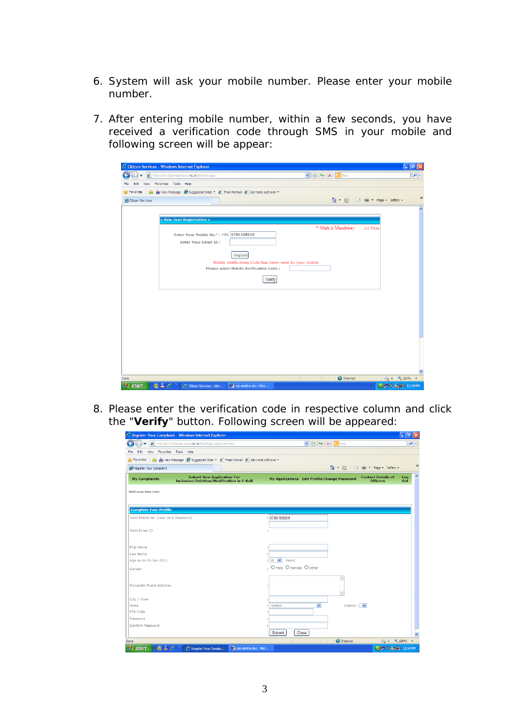- 6. System will ask your mobile number. Please enter your mobile number.
- 7. After entering mobile number, within a few seconds, you have rate: entering the mode through SMS in your mobile and following screen will be appear:

|                  | C Citizen Services - Windows Internet Explorer                                                                    |                                  | - 한<br>∥×              |
|------------------|-------------------------------------------------------------------------------------------------------------------|----------------------------------|------------------------|
|                  | $\vee$ $\bigotimes$ $\bigotimes$ $\bigotimes$ $\bigotimes$ Bing<br>http://eci-citizenservices.nic.in/default.aspx |                                  | $\alpha$               |
| Fle              | Edit View Favorites Tools Help                                                                                    |                                  |                        |
| Favorites        | New Message C Suggested Sites - C Free Hotmail C Get more Add-ons -                                               |                                  |                        |
| Citizen Services |                                                                                                                   | 合 回 □ - Page Safety •            | $\rightarrow$          |
|                  |                                                                                                                   |                                  | $\boldsymbol{\wedge}$  |
|                  | :: New User Registration ::                                                                                       |                                  |                        |
|                  |                                                                                                                   | * Mark is Mandatory<br>[x] Close |                        |
|                  | Enter Your Mobile No.*: +91 9785108559                                                                            |                                  |                        |
|                  | <b>Enter Your Email ID:</b>                                                                                       |                                  |                        |
|                  | Register                                                                                                          |                                  |                        |
|                  | Mobile Verification Code has been sent to your mobile                                                             |                                  |                        |
|                  | <b>Please enter Mobile Verification Code:</b>                                                                     |                                  |                        |
|                  | Verify                                                                                                            |                                  |                        |
|                  |                                                                                                                   |                                  |                        |
|                  |                                                                                                                   |                                  |                        |
|                  |                                                                                                                   |                                  |                        |
|                  |                                                                                                                   |                                  |                        |
|                  |                                                                                                                   |                                  |                        |
|                  |                                                                                                                   |                                  |                        |
|                  |                                                                                                                   |                                  |                        |
|                  |                                                                                                                   |                                  |                        |
|                  |                                                                                                                   |                                  |                        |
|                  |                                                                                                                   |                                  |                        |
|                  |                                                                                                                   |                                  |                        |
| Done             |                                                                                                                   | nternet                          | $\sqrt{2}$ - 2, 100% - |
| <b>A</b> start   | 画 昌 ○ 》<br>csc-emitra.doc - Micr<br>C Citizen Services - Win                                                      |                                  | Q 9 % 的 12:30 PM       |

8. Please enter the verification code in respective column and click the "**Verify**" button. Following screen will be appeared:

| http://eci-citizenservices.nic.in/MainPage.aspx?usr=new                                                       | $\vee$ 8 $\vee$ $\times$ 5 Bing              |                                              | - م        |
|---------------------------------------------------------------------------------------------------------------|----------------------------------------------|----------------------------------------------|------------|
| View Favorites Tools Help<br>File<br>Edit                                                                     |                                              |                                              |            |
| New Message (Suggested Sites v ( Free Hotmail ( Get more Add-ons v<br><b>See Favorites</b>                    |                                              |                                              |            |
| Register Your Complaint                                                                                       |                                              | 4 5 · □ 曲 · Page · Safety ·                  |            |
| <b>Submit New Application For</b><br><b>My Complaints</b><br><b>Inclusion/Deletion/Modification in E-Roll</b> | My Applications Edit Profile Change Password | <b>Contact Details of</b><br><b>Officers</b> | Log<br>Out |
| <b>Welcome New User</b>                                                                                       |                                              |                                              |            |
| <b>Complete Your Profile</b>                                                                                  |                                              |                                              |            |
| Valid Mobile No. (User Id & Password)                                                                         | : 9785108559                                 |                                              |            |
| Valid Email ID                                                                                                |                                              |                                              |            |
| <b>First Name</b>                                                                                             |                                              |                                              |            |
| <b>Last Name</b>                                                                                              |                                              |                                              |            |
| Age as on 01-Jan-2011                                                                                         | $: 18 \times$<br>Years                       |                                              |            |
| Gender                                                                                                        | . O Male O Female O Other                    |                                              |            |
|                                                                                                               |                                              | $\overline{\phantom{a}}$                     |            |
| Complete Postal Address                                                                                       |                                              |                                              |            |
| City / Town                                                                                                   |                                              |                                              |            |
| <b>State</b>                                                                                                  | : -Select-<br>$\checkmark$                   | District : V                                 |            |
| PIN Code                                                                                                      |                                              |                                              |            |
| Password                                                                                                      |                                              |                                              |            |
| Confirm Password                                                                                              |                                              |                                              |            |
|                                                                                                               | Submit<br>Close                              |                                              |            |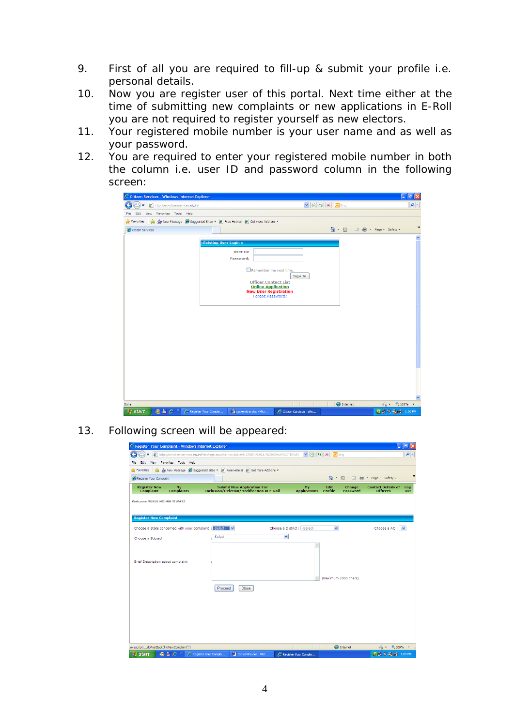- 9. First of all you are required to fill-up & submit your profile i.e. personal details.
- 10. Now you are register user of this portal. Next time either at the time of submitting new complaints or new applications in E-Roll you are not required to register yourself as new electors.
- 11. Your registered mobile number is your user name and as well as your password.
- 12. You are required to enter your registered mobile number in both the column i.e. user ID and password column in the following screen:

| http://eci-citizenservices.nic.in/<br>٠ |                                                                                  | $\mathbf{v}$ $\mathbf{B}$ $\mathbf{v}$ $\mathbf{x}$ $\mathbf{b}$ Bing | $\alpha$ |
|-----------------------------------------|----------------------------------------------------------------------------------|-----------------------------------------------------------------------|----------|
| File<br>Edit View Favorites Tools Help  |                                                                                  |                                                                       |          |
|                                         | Favorites Signal Message C Suggested Sites + C Free Hotmail C Get more Add-ons + |                                                                       |          |
| Citizen Services                        |                                                                                  | △ 5 · □ ● · Page · Safety ·                                           |          |
|                                         |                                                                                  |                                                                       |          |
|                                         | ::Existing User Login ::                                                         |                                                                       |          |
|                                         | User ID:                                                                         |                                                                       |          |
|                                         | Password:                                                                        |                                                                       |          |
|                                         | Remember me next time.                                                           |                                                                       |          |
|                                         |                                                                                  | Sign In                                                               |          |
|                                         | <b>Officer Contact List</b><br><b>Online Application</b>                         |                                                                       |          |
|                                         | <b>New User Registration</b>                                                     |                                                                       |          |
|                                         | Forgot Password?                                                                 |                                                                       |          |
|                                         |                                                                                  |                                                                       |          |
|                                         |                                                                                  |                                                                       |          |
|                                         |                                                                                  |                                                                       |          |
|                                         |                                                                                  |                                                                       |          |
|                                         |                                                                                  |                                                                       |          |
|                                         |                                                                                  |                                                                       |          |
|                                         |                                                                                  |                                                                       |          |
|                                         |                                                                                  |                                                                       |          |
|                                         |                                                                                  |                                                                       |          |
|                                         |                                                                                  |                                                                       |          |
|                                         |                                                                                  |                                                                       |          |
|                                         |                                                                                  |                                                                       |          |
|                                         |                                                                                  |                                                                       |          |
|                                         |                                                                                  |                                                                       |          |

13. Following screen will be appeared:

| C Register Your Complaint - Windows Internet Explorer                                                                           |                                                                                           |                               |                                                     | ō                                                          |
|---------------------------------------------------------------------------------------------------------------------------------|-------------------------------------------------------------------------------------------|-------------------------------|-----------------------------------------------------|------------------------------------------------------------|
|                                                                                                                                 | http://eci-citizenservices.nic.in/MainPage.aspx?usr=my8id=6411708f=MUKUL%20MOHAN%20TIWARI | $\vee$ 8 $\leftrightarrow$ X  | <b>b</b> Bing                                       | $\rho$ .                                                   |
| Favorites Tools Help<br>Edit<br>View<br>File                                                                                    |                                                                                           |                               |                                                     |                                                            |
| <b>Silver Favorites</b><br>sla.                                                                                                 | New Message (Suggested Sites v 2 Free Hotmail 2 Get more Add-ons v                        |                               |                                                     |                                                            |
| Register Your Complaint                                                                                                         |                                                                                           |                               | A · 5 · ⊡ #                                         | $\boldsymbol{\mathcal{D}}$<br>- Page - Safety -            |
| <b>Register New</b><br>My<br>Complaint<br><b>Complaints</b>                                                                     | <b>Submit New Application For</b><br><b>Inclusion/Deletion/Modification in E-Roll</b>     | My<br><b>Applications</b>     | Edit<br><b>Change</b><br>Profile<br><b>Password</b> | <b>Contact Details of</b><br>Log<br><b>Officers</b><br>Out |
| <b>Welcome MUKUL MOHAN TIWARI</b>                                                                                               |                                                                                           |                               |                                                     |                                                            |
| <b>Register New Complaint</b>                                                                                                   |                                                                                           |                               |                                                     |                                                            |
| Choose a State concerned with your complaint : - Select-                                                                        | $\checkmark$                                                                              | Choose a District : - Select- | $\checkmark$                                        | Choose a AC : V                                            |
| Choose a Subject                                                                                                                | -Select-                                                                                  | $\checkmark$                  |                                                     |                                                            |
| Brief Description about complaint                                                                                               |                                                                                           |                               |                                                     |                                                            |
|                                                                                                                                 | Close<br>Proceed                                                                          |                               | (Maximum 2000 chars)                                |                                                            |
|                                                                                                                                 |                                                                                           |                               |                                                     |                                                            |
|                                                                                                                                 |                                                                                           |                               |                                                     |                                                            |
|                                                                                                                                 |                                                                                           |                               |                                                     |                                                            |
|                                                                                                                                 |                                                                                           |                               |                                                     |                                                            |
| javascript:__doPostBack('InkNewComplaint',")<br>$\vec{m} \triangleq \mathcal{L}^{-x}$<br><b>A</b> start<br>Register Your Compla | Mil csc-emitra.doc - Micr                                                                 | e Register Your Compla        | nternet                                             | $\sqrt{a}$ = $\frac{a}{2}$ 100%<br>Q 3 % 的 1:09 PM         |